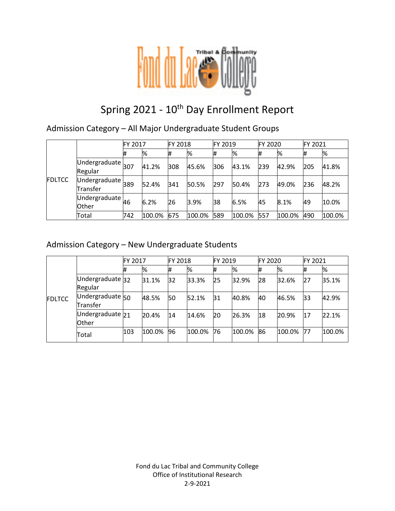

# Spring 2021 - 10<sup>th</sup> Day Enrollment Report

Admission Category – All Major Undergraduate Student Groups

|               |                                                         |     | FY 2017 |     | <b>FY 2018</b> |     | FY 2019 |     | FY 2020 |     | <b>FY 2021</b> |
|---------------|---------------------------------------------------------|-----|---------|-----|----------------|-----|---------|-----|---------|-----|----------------|
|               |                                                         | #   | %       | #   | %              | #   | %       | #   | %       | #   | %              |
| <b>FDLTCC</b> | $\overline{U}$ ndergraduate $\overline{307}$<br>Regular |     | 41.2%   | 308 | 45.6%          | 306 | 43.1%   | 239 | 42.9%   | 205 | 41.8%          |
|               | Undergraduate $_{389}$<br>Transfer                      |     | 52.4%   | 341 | 50.5%          | 297 | 50.4%   | 273 | 49.0%   | 236 | 48.2%          |
|               | Undergraduate $\mu_6$<br><b>Other</b>                   |     | 6.2%    | 26  | 3.9%           | 38  | 6.5%    | 45  | 8.1%    | 49  | 10.0%          |
|               | Total                                                   | 742 | 100.0%  | 675 | 100.0%         | 589 | 100.0%  | 557 | 100.0%  | 490 | 100.0%         |

### Admission Category – New Undergraduate Students

|               |                                      | FY 2017 |        | <b>FY 2018</b> |        | <b>FY 2019</b> |        | <b>FY 2020</b> |        | FY 2021 |        |
|---------------|--------------------------------------|---------|--------|----------------|--------|----------------|--------|----------------|--------|---------|--------|
| <b>FDLTCC</b> |                                      | #       | %      | 11             | %      | #              | %      | #              | %      | #       | %      |
|               | Undergraduate 32<br>Regular          |         | 31.1%  | 32             | 33.3%  | 25             | 32.9%  | 28             | 32.6%  | 27      | 35.1%  |
|               | Undergraduate 50<br>Transfer         |         | 48.5%  | 50             | 52.1%  | 31             | 40.8%  | 40             | 46.5%  | 33      | 42.9%  |
|               | Undergraduate <sub>21</sub><br>Other |         | 20.4%  | 14             | 14.6%  | 20             | 26.3%  | 18             | 20.9%  | 17      | 22.1%  |
|               | Total                                | 103     | 100.0% | 96             | 100.0% | 76             | 100.0% | 86             | 100.0% | 77      | 100.0% |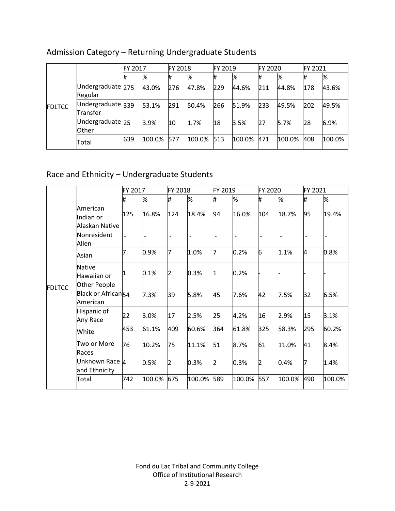|               |                               | FY 2017 |        | <b>FY 2018</b> |        | FY 2019 |        | FY 2020 |        | FY 2021 |        |
|---------------|-------------------------------|---------|--------|----------------|--------|---------|--------|---------|--------|---------|--------|
| <b>FDLTCC</b> |                               | 1#      | %      |                | %      | #       | %      | #       | %      |         | %      |
|               | Undergraduate 275<br>Regular  |         | 43.0%  | 276            | 47.8%  | 229     | 44.6%  | 211     | 44.8%  | 178     | 43.6%  |
|               | Undergraduate 339<br>Transfer |         | 53.1%  | 291            | 50.4%  | 266     | 51.9%  | 233     | 49.5%  | 202     | 49.5%  |
|               | Undergraduate 25<br>Other     |         | 3.9%   | 10             | 1.7%   | 18      | 3.5%   | 27      | 5.7%   | 28      | 6.9%   |
|               | Total                         | 639     | 100.0% | 577            | 100.0% | 513     | 100.0% | 471     | 100.0% | 408     | 100.0% |

# Admission Category – Returning Undergraduate Students

# Race and Ethnicity – Undergraduate Students

|               |                                              | FY 2017 |        | FY 2018                  |                | FY 2019        |        | FY 2020 |        | FY 2021 |                              |
|---------------|----------------------------------------------|---------|--------|--------------------------|----------------|----------------|--------|---------|--------|---------|------------------------------|
|               |                                              | #       | %      | #                        | %              | #              | %      | #       | %      | #       | %                            |
|               | American<br>Indian or<br>Alaskan Native      | 125     | 16.8%  | 124                      | 18.4%          | 94             | 16.0%  | 104     | 18.7%  | 95      | 19.4%                        |
|               | Nonresident<br>Alien                         |         | -      | $\overline{\phantom{a}}$ | $\overline{a}$ |                |        |         |        |         | $\qquad \qquad \blacksquare$ |
|               | Asian                                        |         | 0.9%   | 7                        | 1.0%           | 7              | 0.2%   | 6       | 1.1%   | 4       | 0.8%                         |
| <b>FDLTCC</b> | <b>Native</b><br>Hawaiian or<br>Other People |         | 0.1%   | 2                        | 0.3%           | 11             | 0.2%   |         |        |         |                              |
|               | Black or African <sub>54</sub><br>American   |         | 7.3%   | 39                       | 5.8%           | 45             | 7.6%   | 42      | 7.5%   | 32      | 6.5%                         |
|               | Hispanic of<br>Any Race                      | 22      | 3.0%   | 17                       | 2.5%           | 25             | 4.2%   | 16      | 2.9%   | 15      | 3.1%                         |
|               | White                                        | 453     | 61.1%  | 409                      | 60.6%          | 364            | 61.8%  | 325     | 58.3%  | 295     | 60.2%                        |
|               | Two or More<br>Races                         | 76      | 10.2%  | 75                       | 11.1%          | 51             | 8.7%   | 61      | 11.0%  | 41      | 8.4%                         |
|               | Unknown Race 4<br>and Ethnicity              |         | 0.5%   | $\overline{2}$           | 0.3%           | $\overline{2}$ | 0.3%   | 2       | 0.4%   | 7       | 1.4%                         |
|               | Total                                        | 742     | 100.0% | 675                      | 100.0%         | 589            | 100.0% | 557     | 100.0% | 490     | 100.0%                       |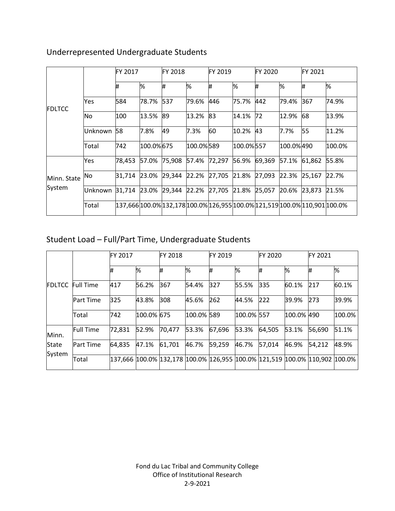|                       |          | FY 2017 |           | FY 2018 |           | FY 2019 |           | FY 2020             |              | <b>FY 2021</b>                                                             |        |
|-----------------------|----------|---------|-----------|---------|-----------|---------|-----------|---------------------|--------------|----------------------------------------------------------------------------|--------|
| <b>FDLTCC</b>         |          | #       | %         | #       | %         | ₩       | %         | #                   | %            | ₩                                                                          | %      |
|                       | Yes      | 584     | 78.7%     | 537     | 79.6%     | 446     | 75.7%     | 442                 | 79.4%        | 367                                                                        | 74.9%  |
|                       | No       | 100     | 13.5%     | 89      | 13.2%     | 83      | 14.1%     | 72                  | 12.9%        | 68                                                                         | 13.9%  |
|                       | Unknown  | 58      | 7.8%      | 49      | 7.3%      | 60      | 10.2%     | 43                  | 7.7%         | 55                                                                         | 11.2%  |
|                       | Total    | 742     | 100.0%675 |         | 100.0%589 |         | 100.0%557 |                     | 100.0%490    |                                                                            | 100.0% |
|                       | Yes      | 78,453  | 57.0%     | 75,908  | 57.4%     | 72,297  | 56.9%     | 69,369 57.1% 61,862 |              |                                                                            | 55.8%  |
| Minn. State<br>System | No       | 31,714  | 23.0%     | 29,344  | 22.2%     | 27,705  | 21.8%     | 27,093              | 22.3% 25,167 |                                                                            | 22.7%  |
|                       | lUnknown | 31,714  | 23.0%     | 29,344  | 22.2%     | 27,705  | 21.8%     | 25,057              | 20.6%        | $ 23,873\rangle$                                                           | 21.5%  |
|                       | Total    |         |           |         |           |         |           |                     |              | 137,666 100.0% 132,178 100.0% 126,955 100.0% 121,519 100.0% 110,901 100.0% |        |

# Underrepresented Undergraduate Students

# Student Load – Full/Part Time, Undergraduate Students

|               |                  | <b>FY 2017</b> |            | FY 2018                                                                             |            | FY 2019 |            | FY 2020 |            | <b>IFY 2021</b> |        |
|---------------|------------------|----------------|------------|-------------------------------------------------------------------------------------|------------|---------|------------|---------|------------|-----------------|--------|
|               |                  | #              | %          | ₩                                                                                   | ℅          | #       | ℅          | #       | %          | #               | %      |
| <b>FDLTCC</b> | <b>Full Time</b> | 417            | 56.2%      | 367                                                                                 | 54.4%      | 327     | 55.5%      | 335     | 60.1%      | 217             | 60.1%  |
|               | <b>Part Time</b> | 325            | 43.8%      | 308                                                                                 | 45.6%      | 262     | 44.5%      | 222     | 39.9%      | 273             | 39.9%  |
|               | Total            | 742            | 100.0% 675 |                                                                                     | 100.0% 589 |         | 100.0% 557 |         | 100.0% 490 |                 | 100.0% |
| Minn.         | <b>Full Time</b> | 72,831         | 52.9%      | 70,477                                                                              | 53.3%      | 67,696  | 53.3%      | 64,505  | 53.1%      | 56,690          | 51.1%  |
| State         | <b>Part Time</b> | 64,835         | 47.1%      | 61,701                                                                              | 46.7%      | 59,259  | 46.7%      | 57,014  | 46.9%      | 54,212          | 48.9%  |
| System        | Total            |                |            | 137,666  100.0%  132,178  100.0%  126,955  100.0%  121,519  100.0%  110,902  100.0% |            |         |            |         |            |                 |        |